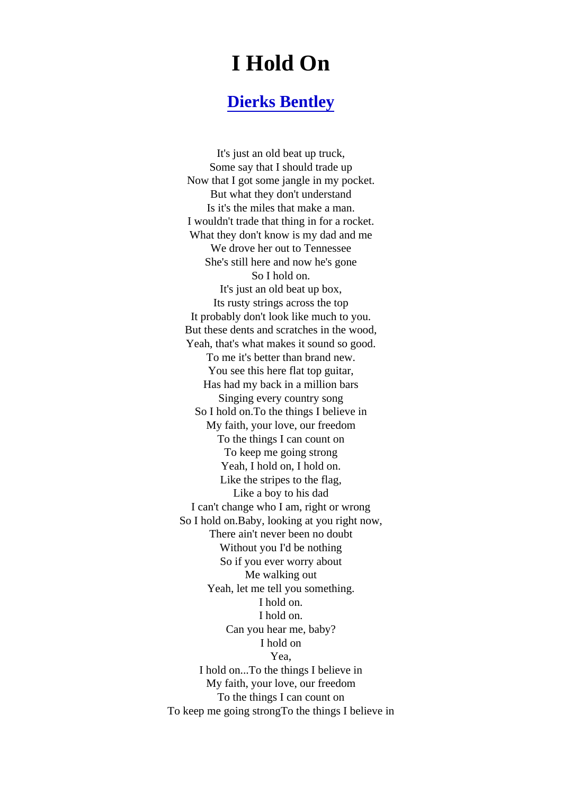## I Hold On

## [Dierks Bentley](https://www.jetlyrics.net/search.html?q=Dierks+Bentley)

It's just an old beat up truck, Some say that I should trade up Now that I got some jangle in my pocket. But what they don't understand Is it's the miles that make a man. I wouldn't trade that thing in for a rocket. What they don't know is my dad and me We drove her out to Tennessee She's still here and now he's gone So I hold on. It's just an old beat up box, Its rusty strings across the top It probably don't look like much to you. But these dents and scratches in the wood, Yeah, that's what makes it sound so good. To me it's better than brand new. You see this here flat top guitar, Has had my back in a million bars Singing every country song So I hold on.To the things I believe in My faith, your love, our freedom To the things I can count on To keep me going strong Yeah, I hold on, I hold on. Like the stripes to the flag, Like a boy to his dad I can't change who I am, right or wrong So I hold on.Baby, looking at you right now, There ain't never been no doubt Without you I'd be nothing So if you ever worry about Me walking out Yeah, let me tell you something. I hold on. I hold on. Can you hear me, baby? I hold on Yea, I hold on...To the things I believe in My faith, your love, our freedom To the things I can count on To keep me going strongTo the things I believe in